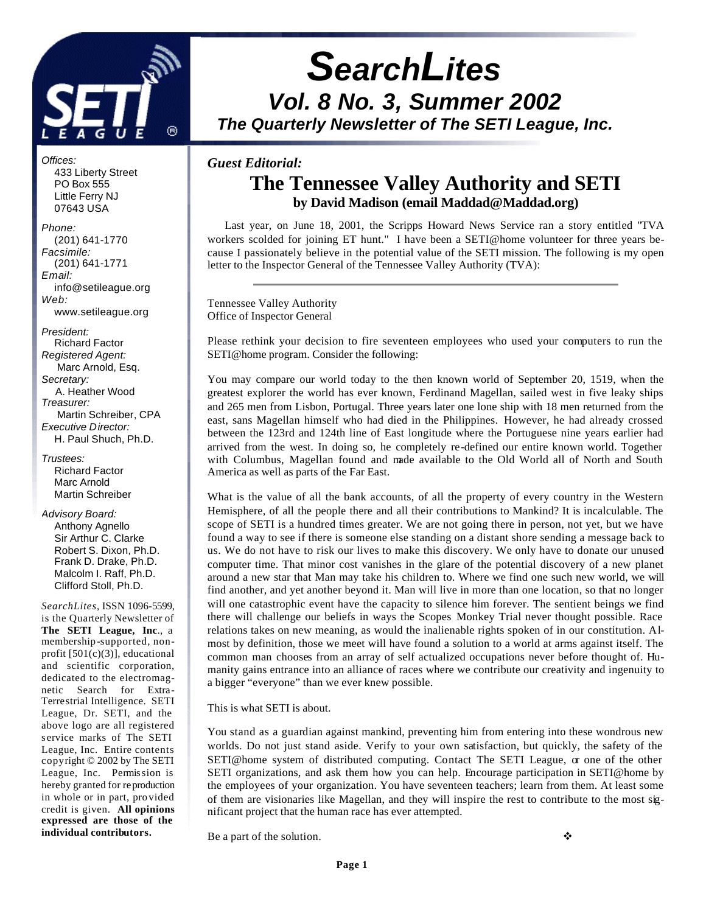

# *SearchLites Vol. 8 No. 3, Summer 2002 The Quarterly Newsletter of The SETI League, Inc.*

#### *Guest Editorial:*

# **The Tennessee Valley Authority and SETI by David Madison (email Maddad@Maddad.org)**

 Last year, on June 18, 2001, the Scripps Howard News Service ran a story entitled "TVA workers scolded for joining ET hunt." I have been a SETI@home volunteer for three years because I passionately believe in the potential value of the SETI mission. The following is my open letter to the Inspector General of the Tennessee Valley Authority (TVA):

Tennessee Valley Authority Office of Inspector General

Please rethink your decision to fire seventeen employees who used your computers to run the SETI@home program. Consider the following:

You may compare our world today to the then known world of September 20, 1519, when the greatest explorer the world has ever known, Ferdinand Magellan, sailed west in five leaky ships and 265 men from Lisbon, Portugal. Three years later one lone ship with 18 men returned from the east, sans Magellan himself who had died in the Philippines. However, he had already crossed between the 123rd and 124th line of East longitude where the Portuguese nine years earlier had arrived from the west. In doing so, he completely re-defined our entire known world. Together with Columbus, Magellan found and made available to the Old World all of North and South America as well as parts of the Far East.

What is the value of all the bank accounts, of all the property of every country in the Western Hemisphere, of all the people there and all their contributions to Mankind? It is incalculable. The scope of SETI is a hundred times greater. We are not going there in person, not yet, but we have found a way to see if there is someone else standing on a distant shore sending a message back to us. We do not have to risk our lives to make this discovery. We only have to donate our unused computer time. That minor cost vanishes in the glare of the potential discovery of a new planet around a new star that Man may take his children to. Where we find one such new world, we will find another, and yet another beyond it. Man will live in more than one location, so that no longer will one catastrophic event have the capacity to silence him forever. The sentient beings we find there will challenge our beliefs in ways the Scopes Monkey Trial never thought possible. Race relations takes on new meaning, as would the inalienable rights spoken of in our constitution. Almost by definition, those we meet will have found a solution to a world at arms against itself. The common man chooses from an array of self actualized occupations never before thought of. Humanity gains entrance into an alliance of races where we contribute our creativity and ingenuity to a bigger "everyone" than we ever knew possible.

This is what SETI is about.

You stand as a guardian against mankind, preventing him from entering into these wondrous new worlds. Do not just stand aside. Verify to your own satisfaction, but quickly, the safety of the SETI@home system of distributed computing. Contact The SETI League,  $\alpha$  one of the other SETI organizations, and ask them how you can help. Encourage participation in SETI@home by the employees of your organization. You have seventeen teachers; learn from them. At least some of them are visionaries like Magellan, and they will inspire the rest to contribute to the most significant project that the human race has ever attempted.

Be a part of the solution.  $\bullet$ 

 433 Liberty Street PO Box 555 Little Ferry NJ 07643 USA *Phone:*

*Offices:*

 (201) 641-1770 *Facsimile:* (201) 641-1771 *Email:* info@setileague.org *Web:* www.setileague.org

*President:* Richard Factor *Registered Agent:*  Marc Arnold, Esq. *Secretary:* A. Heather Wood *Treasurer:*  Martin Schreiber, CPA *Executive Director:* H. Paul Shuch, Ph.D.

*Trustees:* Richard Factor Marc Arnold Martin Schreiber

*Advisory Board:* Anthony Agnello

 Sir Arthur C. Clarke Robert S. Dixon, Ph.D. Frank D. Drake, Ph.D. Malcolm I. Raff, Ph.D. Clifford Stoll, Ph.D.

*SearchLites*, ISSN 1096-5599, is the Quarterly Newsletter of **The SETI League, Inc**., a membership-supported, nonprofit [501(c)(3)], educational and scientific corporation, dedicated to the electromagnetic Search for Extra-Terrestrial Intelligence. SETI League, Dr. SETI, and the above logo are all registered s ervice marks of The SETI League, Inc. Entire contents copyright © 2002 by The SETI League, Inc. Permission is hereby granted for reproduction in whole or in part, provided credit is given. **All opinions expressed are those of the individual contributors.**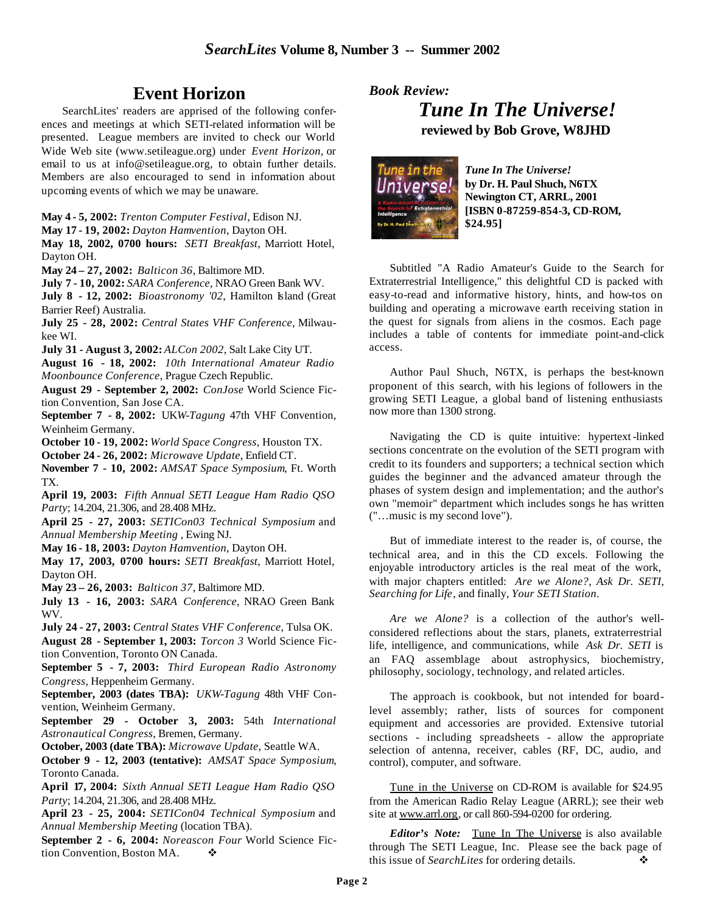# **Event Horizon**

SearchLites' readers are apprised of the following conferences and meetings at which SETI-related information will be presented. League members are invited to check our World Wide Web site (www.setileague.org) under *Event Horizon*, or email to us at info@setileague.org, to obtain further details. Members are also encouraged to send in information about upcoming events of which we may be unaware.

**May 4 - 5, 2002:** *Trenton Computer Festival*, Edison NJ.

**May 17 - 19, 2002:** *Dayton Hamvention*, Dayton OH.

**May 18, 2002, 0700 hours:** *SETI Breakfast*, Marriott Hotel, Dayton OH.

**May 24 – 27, 2002:** *Balticon 36*, Baltimore MD.

**July 7 - 10, 2002:** *SARA Conference*, NRAO Green Bank WV. July 8 - 12, 2002: *Bioastronomy '02*, Hamilton Island (Great Barrier Reef) Australia.

**July 25 - 28, 2002:** *Central States VHF Conference*, Milwaukee WI.

**July 31 - August 3, 2002:** *ALCon 2002*, Salt Lake City UT.

**August 16 - 18, 2002:** *10th International Amateur Radio Moonbounce Conference*, Prague Czech Republic.

**August 29 - September 2, 2002:** *ConJose* World Science Fiction Convention, San Jose CA.

**September 7 - 8, 2002:** UK*W-Tagung* 47th VHF Convention, Weinheim Germany.

**October 10 - 19, 2002:** *World Space Congress*, Houston TX.

**October 24 - 26, 2002:** *Microwave Update*, Enfield CT.

**November 7 - 10, 2002:** *AMSAT Space Symposium*, Ft. Worth TX.

**April 19, 2003:** *Fifth Annual SETI League Ham Radio QSO Party*; 14.204, 21.306, and 28.408 MHz.

**April 25 - 27, 2003:** *SETICon03 Technical Symposium* and *Annual Membership Meeting* , Ewing NJ.

**May 16 - 18, 2003:** *Dayton Hamvention*, Dayton OH.

**May 17, 2003, 0700 hours:** *SETI Breakfast*, Marriott Hotel, Dayton OH.

**May 23 – 26, 2003:** *Balticon 37*, Baltimore MD.

**July 13 - 16, 2003:** *SARA Conference*, NRAO Green Bank WV.

**July 24 - 27, 2003:** *Central States VHF Conference*, Tulsa OK. **August 28 - September 1, 2003:** *Torcon 3* World Science Fic-

tion Convention, Toronto ON Canada.

**September 5 - 7, 2003:** *Third European Radio Astronomy Congress*, Heppenheim Germany.

**September, 2003 (dates TBA):** *UKW-Tagung* 48th VHF Convention, Weinheim Germany.

**September 29 - October 3, 2003:** 54th *International Astronautical Congress*, Bremen, Germany.

**October, 2003 (date TBA):** *Microwave Update*, Seattle WA.

**October 9 - 12, 2003 (tentative):** *AMSAT Space Symposium*, Toronto Canada.

**April 17, 2004:** *Sixth Annual SETI League Ham Radio QSO Party*; 14.204, 21.306, and 28.408 MHz.

**April 23 - 25, 2004:** *SETICon04 Technical Symposium* and *Annual Membership Meeting* (location TBA).

**September 2 - 6, 2004:** *Noreascon Four* World Science Fiction Convention, Boston MA.  $\bullet$ 

*Book Review:*

*Tune In The Universe!* **reviewed by Bob Grove, W8JHD**



*Tune In The Universe!* **by Dr. H. Paul Shuch, N6TX Newington CT, ARRL, 2001 [ISBN 0-87259-854-3, CD-ROM, \$24.95]**

Subtitled "A Radio Amateur's Guide to the Search for Extraterrestrial Intelligence," this delightful CD is packed with easy-to-read and informative history, hints, and how-tos on building and operating a microwave earth receiving station in the quest for signals from aliens in the cosmos. Each page includes a table of contents for immediate point-and-click access.

Author Paul Shuch, N6TX, is perhaps the best-known proponent of this search, with his legions of followers in the growing SETI League, a global band of listening enthusiasts now more than 1300 strong.

Navigating the CD is quite intuitive: hypertext-linked sections concentrate on the evolution of the SETI program with credit to its founders and supporters; a technical section which guides the beginner and the advanced amateur through the phases of system design and implementation; and the author's own "memoir" department which includes songs he has written ("…music is my second love").

But of immediate interest to the reader is, of course, the technical area, and in this the CD excels. Following the enjoyable introductory articles is the real meat of the work, with major chapters entitled: *Are we Alone?*, *Ask Dr. SETI*, *Searching for Life*, and finally, *Your SETI Station*.

*Are we Alone?* is a collection of the author's wellconsidered reflections about the stars, planets, extraterrestrial life, intelligence, and communications, while *Ask Dr. SETI* is an FAQ assemblage about astrophysics, biochemistry, philosophy, sociology, technology, and related articles.

The approach is cookbook, but not intended for boardlevel assembly; rather, lists of sources for component equipment and accessories are provided. Extensive tutorial sections - including spreadsheets - allow the appropriate selection of antenna, receiver, cables (RF, DC, audio, and control), computer, and software.

Tune in the Universe on CD-ROM is available for \$24.95 from the American Radio Relay League (ARRL); see their web site at www.arrl.org, or call 860-594-0200 for ordering.

*Editor's Note:* Tune In The Universe is also available through The SETI League, Inc. Please see the back page of this issue of *SearchLites* for ordering details. ❖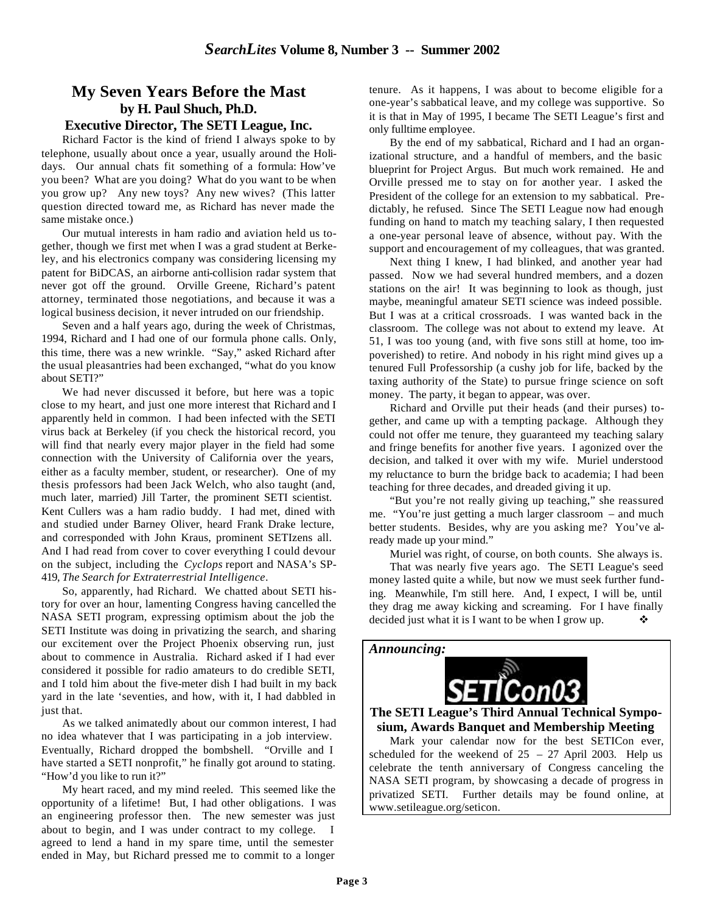# **My Seven Years Before the Mast by H. Paul Shuch, Ph.D.**

#### **Executive Director, The SETI League, Inc.**

Richard Factor is the kind of friend I always spoke to by telephone, usually about once a year, usually around the Holidays. Our annual chats fit something of a formula: How've you been? What are you doing? What do you want to be when you grow up? Any new toys? Any new wives? (This latter question directed toward me, as Richard has never made the same mistake once.)

Our mutual interests in ham radio and aviation held us together, though we first met when I was a grad student at Berkeley, and his electronics company was considering licensing my patent for BiDCAS, an airborne anti-collision radar system that never got off the ground. Orville Greene, Richard's patent attorney, terminated those negotiations, and because it was a logical business decision, it never intruded on our friendship.

Seven and a half years ago, during the week of Christmas, 1994, Richard and I had one of our formula phone calls. Only, this time, there was a new wrinkle. "Say," asked Richard after the usual pleasantries had been exchanged, "what do you know about SETI?"

We had never discussed it before, but here was a topic close to my heart, and just one more interest that Richard and I apparently held in common. I had been infected with the SETI virus back at Berkeley (if you check the historical record, you will find that nearly every major player in the field had some connection with the University of California over the years, either as a faculty member, student, or researcher). One of my thesis professors had been Jack Welch, who also taught (and, much later, married) Jill Tarter, the prominent SETI scientist. Kent Cullers was a ham radio buddy. I had met, dined with and studied under Barney Oliver, heard Frank Drake lecture, and corresponded with John Kraus, prominent SETIzens all. And I had read from cover to cover everything I could devour on the subject, including the *Cyclops* report and NASA's SP-419, *The Search for Extraterrestrial Intelligence*.

So, apparently, had Richard. We chatted about SETI history for over an hour, lamenting Congress having cancelled the NASA SETI program, expressing optimism about the job the SETI Institute was doing in privatizing the search, and sharing our excitement over the Project Phoenix observing run, just about to commence in Australia. Richard asked if I had ever considered it possible for radio amateurs to do credible SETI, and I told him about the five-meter dish I had built in my back yard in the late 'seventies, and how, with it, I had dabbled in just that.

As we talked animatedly about our common interest, I had no idea whatever that I was participating in a job interview. Eventually, Richard dropped the bombshell. "Orville and I have started a SETI nonprofit," he finally got around to stating. "How'd you like to run it?"

My heart raced, and my mind reeled. This seemed like the opportunity of a lifetime! But, I had other obligations. I was an engineering professor then. The new semester was just about to begin, and I was under contract to my college. I agreed to lend a hand in my spare time, until the semester ended in May, but Richard pressed me to commit to a longer

tenure. As it happens, I was about to become eligible for a one-year's sabbatical leave, and my college was supportive. So it is that in May of 1995, I became The SETI League's first and only fulltime employee.

By the end of my sabbatical, Richard and I had an organizational structure, and a handful of members, and the basic blueprint for Project Argus. But much work remained. He and Orville pressed me to stay on for another year. I asked the President of the college for an extension to my sabbatical. Predictably, he refused. Since The SETI League now had enough funding on hand to match my teaching salary, I then requested a one-year personal leave of absence, without pay. With the support and encouragement of my colleagues, that was granted.

Next thing I knew, I had blinked, and another year had passed. Now we had several hundred members, and a dozen stations on the air! It was beginning to look as though, just maybe, meaningful amateur SETI science was indeed possible. But I was at a critical crossroads. I was wanted back in the classroom. The college was not about to extend my leave. At 51, I was too young (and, with five sons still at home, too impoverished) to retire. And nobody in his right mind gives up a tenured Full Professorship (a cushy job for life, backed by the taxing authority of the State) to pursue fringe science on soft money. The party, it began to appear, was over.

Richard and Orville put their heads (and their purses) together, and came up with a tempting package. Although they could not offer me tenure, they guaranteed my teaching salary and fringe benefits for another five years. I agonized over the decision, and talked it over with my wife. Muriel understood my reluctance to burn the bridge back to academia; I had been teaching for three decades, and dreaded giving it up.

"But you're not really giving up teaching," she reassured me. "You're just getting a much larger classroom – and much better students. Besides, why are you asking me? You've already made up your mind."

Muriel was right, of course, on both counts. She always is. That was nearly five years ago. The SETI League's seed money lasted quite a while, but now we must seek further funding. Meanwhile, I'm still here. And, I expect, I will be, until they drag me away kicking and screaming. For I have finally decided just what it is I want to be when I grow up.  $\bullet\bullet$ 



#### **The SETI League's Third Annual Technical Symposium, Awards Banquet and Membership Meeting**

Mark your calendar now for the best SETICon ever, scheduled for the weekend of  $25 - 27$  April 2003. Help us celebrate the tenth anniversary of Congress canceling the NASA SETI program, by showcasing a decade of progress in privatized SETI. Further details may be found online, at www.setileague.org/seticon.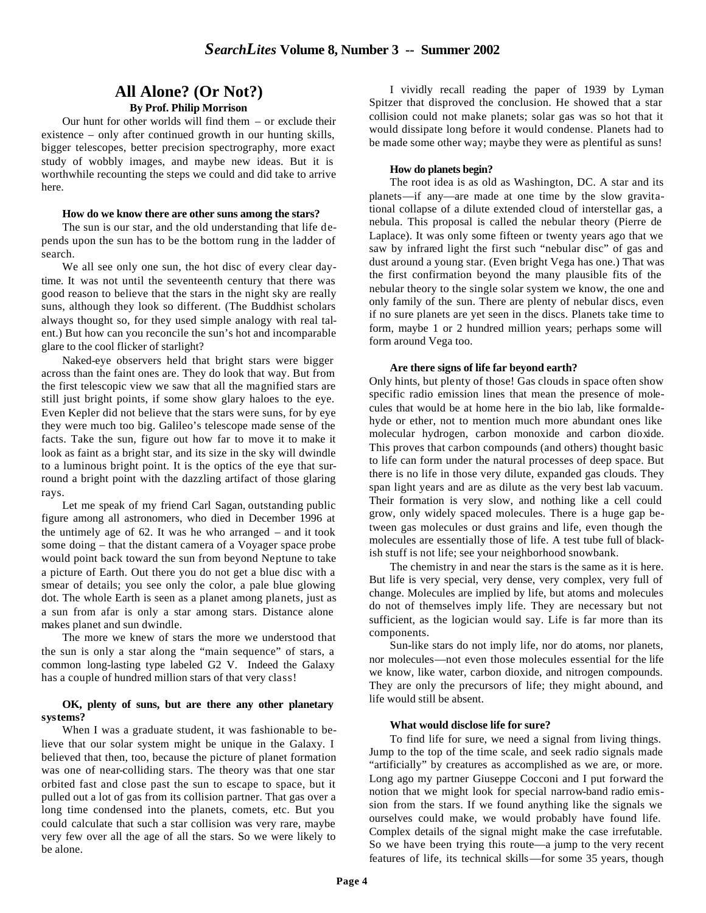## **All Alone? (Or Not?)**

#### **By Prof. Philip Morrison**

Our hunt for other worlds will find them – or exclude their existence – only after continued growth in our hunting skills, bigger telescopes, better precision spectrography, more exact study of wobbly images, and maybe new ideas. But it is worthwhile recounting the steps we could and did take to arrive here.

#### **How do we know there are other suns among the stars?**

The sun is our star, and the old understanding that life depends upon the sun has to be the bottom rung in the ladder of search.

We all see only one sun, the hot disc of every clear daytime. It was not until the seventeenth century that there was good reason to believe that the stars in the night sky are really suns, although they look so different. (The Buddhist scholars always thought so, for they used simple analogy with real talent.) But how can you reconcile the sun's hot and incomparable glare to the cool flicker of starlight?

Naked-eye observers held that bright stars were bigger across than the faint ones are. They do look that way. But from the first telescopic view we saw that all the magnified stars are still just bright points, if some show glary haloes to the eye. Even Kepler did not believe that the stars were suns, for by eye they were much too big. Galileo's telescope made sense of the facts. Take the sun, figure out how far to move it to make it look as faint as a bright star, and its size in the sky will dwindle to a luminous bright point. It is the optics of the eye that surround a bright point with the dazzling artifact of those glaring rays.

Let me speak of my friend Carl Sagan, outstanding public figure among all astronomers, who died in December 1996 at the untimely age of 62. It was he who arranged – and it took some doing – that the distant camera of a Voyager space probe would point back toward the sun from beyond Neptune to take a picture of Earth. Out there you do not get a blue disc with a smear of details; you see only the color, a pale blue glowing dot. The whole Earth is seen as a planet among planets, just as a sun from afar is only a star among stars. Distance alone makes planet and sun dwindle.

The more we knew of stars the more we understood that the sun is only a star along the "main sequence" of stars, a common long-lasting type labeled G2 V. Indeed the Galaxy has a couple of hundred million stars of that very class!

#### **OK, plenty of suns, but are there any other planetary systems?**

When I was a graduate student, it was fashionable to believe that our solar system might be unique in the Galaxy. I believed that then, too, because the picture of planet formation was one of near-colliding stars. The theory was that one star orbited fast and close past the sun to escape to space, but it pulled out a lot of gas from its collision partner. That gas over a long time condensed into the planets, comets, etc. But you could calculate that such a star collision was very rare, maybe very few over all the age of all the stars. So we were likely to be alone.

I vividly recall reading the paper of 1939 by Lyman Spitzer that disproved the conclusion. He showed that a star collision could not make planets; solar gas was so hot that it would dissipate long before it would condense. Planets had to be made some other way; maybe they were as plentiful as suns!

#### **How do planets begin?**

The root idea is as old as Washington, DC. A star and its planets—if any—are made at one time by the slow gravitational collapse of a dilute extended cloud of interstellar gas, a nebula. This proposal is called the nebular theory (Pierre de Laplace). It was only some fifteen or twenty years ago that we saw by infrared light the first such "nebular disc" of gas and dust around a young star. (Even bright Vega has one.) That was the first confirmation beyond the many plausible fits of the nebular theory to the single solar system we know, the one and only family of the sun. There are plenty of nebular discs, even if no sure planets are yet seen in the discs. Planets take time to form, maybe 1 or 2 hundred million years; perhaps some will form around Vega too.

#### **Are there signs of life far beyond earth?**

Only hints, but plenty of those! Gas clouds in space often show specific radio emission lines that mean the presence of molecules that would be at home here in the bio lab, like formaldehyde or ether, not to mention much more abundant ones like molecular hydrogen, carbon monoxide and carbon dioxide. This proves that carbon compounds (and others) thought basic to life can form under the natural processes of deep space. But there is no life in those very dilute, expanded gas clouds. They span light years and are as dilute as the very best lab vacuum. Their formation is very slow, and nothing like a cell could grow, only widely spaced molecules. There is a huge gap between gas molecules or dust grains and life, even though the molecules are essentially those of life. A test tube full of blackish stuff is not life; see your neighborhood snowbank.

The chemistry in and near the stars is the same as it is here. But life is very special, very dense, very complex, very full of change. Molecules are implied by life, but atoms and molecules do not of themselves imply life. They are necessary but not sufficient, as the logician would say. Life is far more than its components.

Sun-like stars do not imply life, nor do atoms, nor planets, nor molecules—not even those molecules essential for the life we know, like water, carbon dioxide, and nitrogen compounds. They are only the precursors of life; they might abound, and life would still be absent.

#### **What would disclose life for sure?**

To find life for sure, we need a signal from living things. Jump to the top of the time scale, and seek radio signals made "artificially" by creatures as accomplished as we are, or more. Long ago my partner Giuseppe Cocconi and I put forward the notion that we might look for special narrow-band radio emission from the stars. If we found anything like the signals we ourselves could make, we would probably have found life. Complex details of the signal might make the case irrefutable. So we have been trying this route—a jump to the very recent features of life, its technical skills—for some 35 years, though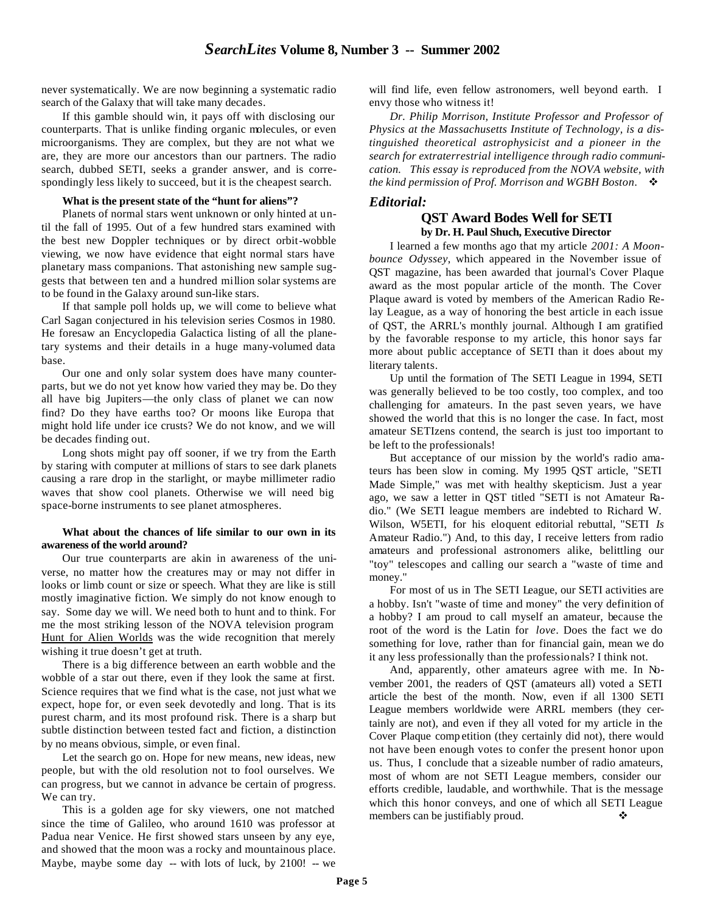never systematically. We are now beginning a systematic radio search of the Galaxy that will take many decades.

If this gamble should win, it pays off with disclosing our counterparts. That is unlike finding organic molecules, or even microorganisms. They are complex, but they are not what we are, they are more our ancestors than our partners. The radio search, dubbed SETI, seeks a grander answer, and is correspondingly less likely to succeed, but it is the cheapest search.

#### **What is the present state of the "hunt for aliens"?**

Planets of normal stars went unknown or only hinted at until the fall of 1995. Out of a few hundred stars examined with the best new Doppler techniques or by direct orbit-wobble viewing, we now have evidence that eight normal stars have planetary mass companions. That astonishing new sample suggests that between ten and a hundred million solar systems are to be found in the Galaxy around sun-like stars.

If that sample poll holds up, we will come to believe what Carl Sagan conjectured in his television series Cosmos in 1980. He foresaw an Encyclopedia Galactica listing of all the planetary systems and their details in a huge many-volumed data base.

Our one and only solar system does have many counterparts, but we do not yet know how varied they may be. Do they all have big Jupiters—the only class of planet we can now find? Do they have earths too? Or moons like Europa that might hold life under ice crusts? We do not know, and we will be decades finding out.

Long shots might pay off sooner, if we try from the Earth by staring with computer at millions of stars to see dark planets causing a rare drop in the starlight, or maybe millimeter radio waves that show cool planets. Otherwise we will need big space-borne instruments to see planet atmospheres.

#### **What about the chances of life similar to our own in its awareness of the world around?**

Our true counterparts are akin in awareness of the universe, no matter how the creatures may or may not differ in looks or limb count or size or speech. What they are like is still mostly imaginative fiction. We simply do not know enough to say. Some day we will. We need both to hunt and to think. For me the most striking lesson of the NOVA television program Hunt for Alien Worlds was the wide recognition that merely wishing it true doesn't get at truth.

There is a big difference between an earth wobble and the wobble of a star out there, even if they look the same at first. Science requires that we find what is the case, not just what we expect, hope for, or even seek devotedly and long. That is its purest charm, and its most profound risk. There is a sharp but subtle distinction between tested fact and fiction, a distinction by no means obvious, simple, or even final.

Let the search go on. Hope for new means, new ideas, new people, but with the old resolution not to fool ourselves. We can progress, but we cannot in advance be certain of progress. We can try.

This is a golden age for sky viewers, one not matched since the time of Galileo, who around 1610 was professor at Padua near Venice. He first showed stars unseen by any eye, and showed that the moon was a rocky and mountainous place. Maybe, maybe some day -- with lots of luck, by 2100! -- we will find life, even fellow astronomers, well beyond earth. I envy those who witness it!

*Dr. Philip Morrison, Institute Professor and Professor of Physics at the Massachusetts Institute of Technology, is a distinguished theoretical astrophysicist and a pioneer in the search for extraterrestrial intelligence through radio communication. This essay is reproduced from the NOVA website, with the kind permission of Prof. Morrison and WGBH Boston.*  $\cdot$ 

#### *Editorial:*

#### **QST Award Bodes Well for SETI by Dr. H. Paul Shuch, Executive Director**

I learned a few months ago that my article *2001: A Moonbounce Odyssey*, which appeared in the November issue of QST magazine, has been awarded that journal's Cover Plaque award as the most popular article of the month. The Cover Plaque award is voted by members of the American Radio Relay League, as a way of honoring the best article in each issue of QST, the ARRL's monthly journal. Although I am gratified by the favorable response to my article, this honor says far more about public acceptance of SETI than it does about my literary talents.

Up until the formation of The SETI League in 1994, SETI was generally believed to be too costly, too complex, and too challenging for amateurs. In the past seven years, we have showed the world that this is no longer the case. In fact, most amateur SETIzens contend, the search is just too important to be left to the professionals!

But acceptance of our mission by the world's radio amateurs has been slow in coming. My 1995 QST article, "SETI Made Simple," was met with healthy skepticism. Just a year ago, we saw a letter in QST titled "SETI is not Amateur Radio." (We SETI league members are indebted to Richard W. Wilson, W5ETI, for his eloquent editorial rebuttal, "SETI *Is* Amateur Radio.") And, to this day, I receive letters from radio amateurs and professional astronomers alike, belittling our "toy" telescopes and calling our search a "waste of time and money."

For most of us in The SETI League, our SETI activities are a hobby. Isn't "waste of time and money" the very definition of a hobby? I am proud to call myself an amateur, because the root of the word is the Latin for *love*. Does the fact we do something for love, rather than for financial gain, mean we do it any less professionally than the professionals? I think not.

And, apparently, other amateurs agree with me. In November 2001, the readers of QST (amateurs all) voted a SETI article the best of the month. Now, even if all 1300 SETI League members worldwide were ARRL members (they certainly are not), and even if they all voted for my article in the Cover Plaque comp etition (they certainly did not), there would not have been enough votes to confer the present honor upon us. Thus, I conclude that a sizeable number of radio amateurs, most of whom are not SETI League members, consider our efforts credible, laudable, and worthwhile. That is the message which this honor conveys, and one of which all SETI League members can be justifiably proud.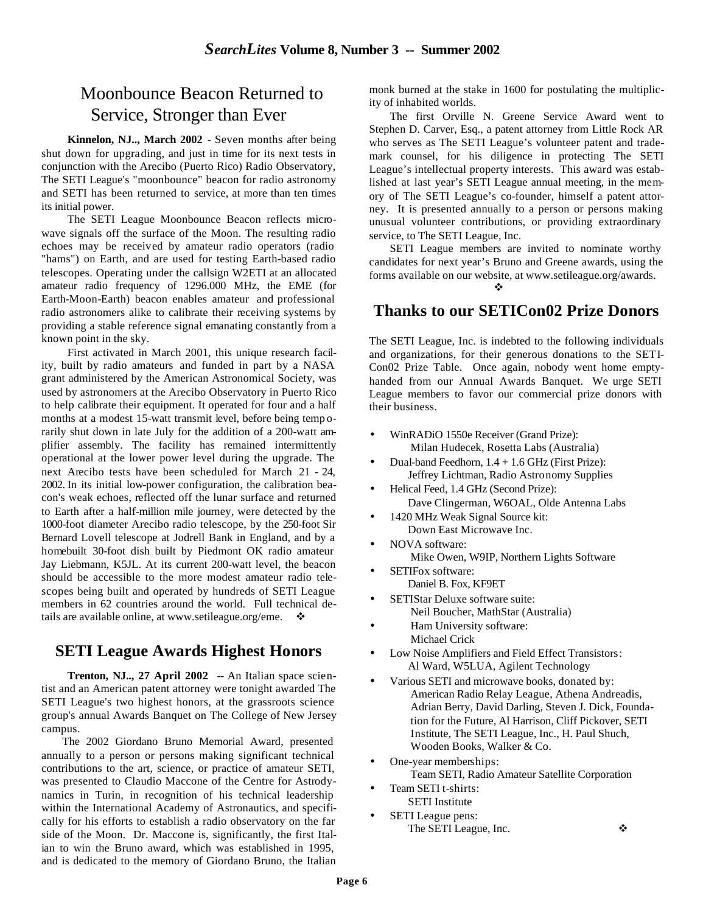# Moonbounce Beacon Returned to Service, Stronger than Ever

**Kinnelon, NJ.., March 2002** - Seven months after being shut down for upgrading, and just in time for its next tests in conjunction with the Arecibo (Puerto Rico) Radio Observatory, The SETI League's "moonbounce" beacon for radio astronomy and SETI has been returned to service, at more than ten times its initial power.

The SETI League Moonbounce Beacon reflects microwave signals off the surface of the Moon. The resulting radio echoes may be received by amateur radio operators (radio "hams") on Earth, and are used for testing Earth-based radio telescopes. Operating under the callsign W2ETI at an allocated amateur radio frequency of 1296.000 MHz, the EME (for Earth-Moon-Earth) beacon enables amateur and professional radio astronomers alike to calibrate their receiving systems by providing a stable reference signal emanating constantly from a known point in the sky.

First activated in March 2001, this unique research facility, built by radio amateurs and funded in part by a NASA grant administered by the American Astronomical Society, was used by astronomers at the Arecibo Observatory in Puerto Rico to help calibrate their equipment. It operated for four and a half months at a modest 15-watt transmit level, before being temp orarily shut down in late July for the addition of a 200-watt amplifier assembly. The facility has remained intermittently operational at the lower power level during the upgrade. The next Arecibo tests have been scheduled for March 21 - 24, 2002. In its initial low-power configuration, the calibration beacon's weak echoes, reflected off the lunar surface and returned to Earth after a half-million mile journey, were detected by the 1000-foot diameter Arecibo radio telescope, by the 250-foot Sir Bernard Lovell telescope at Jodrell Bank in England, and by a homebuilt 30-foot dish built by Piedmont OK radio amateur Jay Liebmann, K5JL. At its current 200-watt level, the beacon should be accessible to the more modest amateur radio telescopes being built and operated by hundreds of SETI League members in 62 countries around the world. Full technical details are available online, at www.setileague.org/eme.  $\bullet$ 

### **SETI League Awards Highest Honors**

**Trenton, NJ.., 27 April 2002** -- An Italian space scientist and an American patent attorney were tonight awarded The SETI League's two highest honors, at the grassroots science group's annual Awards Banquet on The College of New Jersey campus.

The 2002 Giordano Bruno Memorial Award, presented annually to a person or persons making significant technical contributions to the art, science, or practice of amateur SETI, was presented to Claudio Maccone of the Centre for Astrodynamics in Turin, in recognition of his technical leadership within the International Academy of Astronautics, and specifically for his efforts to establish a radio observatory on the far side of the Moon. Dr. Maccone is, significantly, the first Italian to win the Bruno award, which was established in 1995, and is dedicated to the memory of Giordano Bruno, the Italian

monk burned at the stake in 1600 for postulating the multiplicity of inhabited worlds.

The first Orville N. Greene Service Award went to Stephen D. Carver, Esq., a patent attorney from Little Rock AR who serves as The SETI League's volunteer patent and trademark counsel, for his diligence in protecting The SETI League's intellectual property interests. This award was established at last year's SETI League annual meeting, in the memory of The SETI League's co-founder, himself a patent attorney. It is presented annually to a person or persons making unusual volunteer contributions, or providing extraordinary service, to The SETI League, Inc.

SETI League members are invited to nominate worthy candidates for next year's Bruno and Greene awards, using the forms available on our website, at www.setileague.org/awards.

v

### **Thanks to our SETICon02 Prize Donors**

The SETI League, Inc. is indebted to the following individuals and organizations, for their generous donations to the SETI-Con02 Prize Table. Once again, nobody went home emptyhanded from our Annual Awards Banquet. We urge SETI League members to favor our commercial prize donors with their business.

- WinRADiO 1550e Receiver (Grand Prize): Milan Hudecek, Rosetta Labs (Australia)
- Dual-band Feedhorn,  $1.4 + 1.6$  GHz (First Prize): Jeffrey Lichtman, Radio Astronomy Supplies
- Helical Feed, 1.4 GHz (Second Prize): Dave Clingerman, W6OAL, Olde Antenna Labs
- 1420 MHz Weak Signal Source kit: Down East Microwave Inc.
- NOVA software: Mike Owen, W9IP, Northern Lights Software
- SETIFox software:
	- Daniel B. Fox, KF9ET
- SETIStar Deluxe software suite: Neil Boucher, MathStar (Australia)
- Ham University software: Michael Crick
- Low Noise Amplifiers and Field Effect Transistors: Al Ward, W5LUA, Agilent Technology
- Various SETI and microwave books, donated by: American Radio Relay League, Athena Andreadis, Adrian Berry, David Darling, Steven J. Dick, Foundation for the Future, Al Harrison, Cliff Pickover, SETI Institute, The SETI League, Inc., H. Paul Shuch, Wooden Books, Walker & Co.
- One-year memberships: Team SETI, Radio Amateur Satellite Corporation
- Team SETI t-shirts: SETI Institute
- SETI League pens: The SETI League, Inc. ❖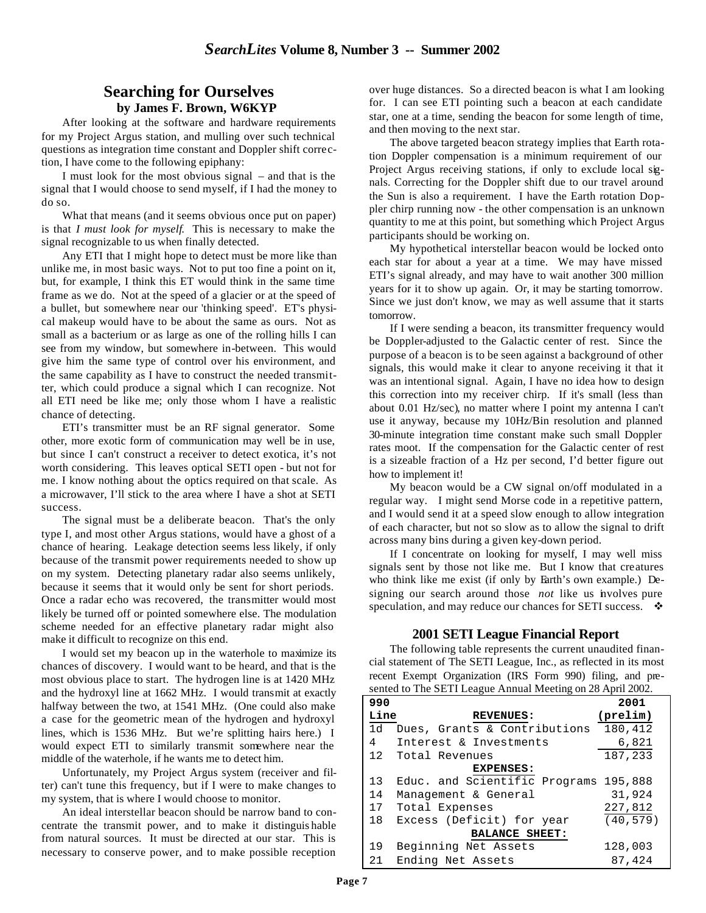### **Searching for Ourselves by James F. Brown, W6KYP**

After looking at the software and hardware requirements for my Project Argus station, and mulling over such technical questions as integration time constant and Doppler shift correction, I have come to the following epiphany:

I must look for the most obvious signal – and that is the signal that I would choose to send myself, if I had the money to do so.

What that means (and it seems obvious once put on paper) is that *I must look for myself*. This is necessary to make the signal recognizable to us when finally detected.

Any ETI that I might hope to detect must be more like than unlike me, in most basic ways. Not to put too fine a point on it, but, for example, I think this ET would think in the same time frame as we do. Not at the speed of a glacier or at the speed of a bullet, but somewhere near our 'thinking speed'. ET's physical makeup would have to be about the same as ours. Not as small as a bacterium or as large as one of the rolling hills I can see from my window, but somewhere in-between. This would give him the same type of control over his environment, and the same capability as I have to construct the needed transmitter, which could produce a signal which I can recognize. Not all ETI need be like me; only those whom I have a realistic chance of detecting.

ETI's transmitter must be an RF signal generator. Some other, more exotic form of communication may well be in use, but since I can't construct a receiver to detect exotica, it's not worth considering. This leaves optical SETI open - but not for me. I know nothing about the optics required on that scale. As a microwaver, I'll stick to the area where I have a shot at SETI success.

The signal must be a deliberate beacon. That's the only type I, and most other Argus stations, would have a ghost of a chance of hearing. Leakage detection seems less likely, if only because of the transmit power requirements needed to show up on my system. Detecting planetary radar also seems unlikely, because it seems that it would only be sent for short periods. Once a radar echo was recovered, the transmitter would most likely be turned off or pointed somewhere else. The modulation scheme needed for an effective planetary radar might also make it difficult to recognize on this end.

I would set my beacon up in the waterhole to maximize its chances of discovery. I would want to be heard, and that is the most obvious place to start. The hydrogen line is at 1420 MHz and the hydroxyl line at 1662 MHz. I would transmit at exactly halfway between the two, at 1541 MHz. (One could also make a case for the geometric mean of the hydrogen and hydroxyl lines, which is 1536 MHz. But we're splitting hairs here.) I would expect ETI to similarly transmit somewhere near the middle of the waterhole, if he wants me to detect him.

Unfortunately, my Project Argus system (receiver and filter) can't tune this frequency, but if I were to make changes to my system, that is where I would choose to monitor.

An ideal interstellar beacon should be narrow band to concentrate the transmit power, and to make it distinguis hable from natural sources. It must be directed at our star. This is necessary to conserve power, and to make possible reception

over huge distances. So a directed beacon is what I am looking for. I can see ETI pointing such a beacon at each candidate star, one at a time, sending the beacon for some length of time, and then moving to the next star.

The above targeted beacon strategy implies that Earth rotation Doppler compensation is a minimum requirement of our Project Argus receiving stations, if only to exclude local signals. Correcting for the Doppler shift due to our travel around the Sun is also a requirement. I have the Earth rotation Doppler chirp running now - the other compensation is an unknown quantity to me at this point, but something which Project Argus participants should be working on.

My hypothetical interstellar beacon would be locked onto each star for about a year at a time. We may have missed ETI's signal already, and may have to wait another 300 million years for it to show up again. Or, it may be starting tomorrow. Since we just don't know, we may as well assume that it starts tomorrow.

If I were sending a beacon, its transmitter frequency would be Doppler-adjusted to the Galactic center of rest. Since the purpose of a beacon is to be seen against a background of other signals, this would make it clear to anyone receiving it that it was an intentional signal. Again, I have no idea how to design this correction into my receiver chirp. If it's small (less than about 0.01 Hz/sec), no matter where I point my antenna I can't use it anyway, because my 10Hz/Bin resolution and planned 30-minute integration time constant make such small Doppler rates moot. If the compensation for the Galactic center of rest is a sizeable fraction of a Hz per second, I'd better figure out how to implement it!

My beacon would be a CW signal on/off modulated in a regular way. I might send Morse code in a repetitive pattern, and I would send it at a speed slow enough to allow integration of each character, but not so slow as to allow the signal to drift across many bins during a given key-down period.

If I concentrate on looking for myself, I may well miss signals sent by those not like me. But I know that creatures who think like me exist (if only by Earth's own example.) Designing our search around those *not* like us involves pure speculation, and may reduce our chances for SETI success.  $\bullet$ 

#### **2001 SETI League Financial Report**

The following table represents the current unaudited financial statement of The SETI League, Inc., as reflected in its most recent Exempt Organization (IRS Form 990) filing, and presented to The SETI League Annual Meeting on 28 April 2002.

| 990                   |                                       | 2001              |  |  |  |
|-----------------------|---------------------------------------|-------------------|--|--|--|
| Line                  | <b>REVENUES:</b>                      | $(\text{prelim})$ |  |  |  |
| 1d                    | Dues, Grants & Contributions          | 180,412           |  |  |  |
| 4                     | Interest & Investments                | 6,821             |  |  |  |
|                       | 12 Total Revenues                     | 187,233           |  |  |  |
| EXPENSES:             |                                       |                   |  |  |  |
| 13                    | Educ. and Scientific Programs 195,888 |                   |  |  |  |
| 14                    | Management & General                  | 31,924            |  |  |  |
| 17                    | Total Expenses                        | 227,812           |  |  |  |
| 18                    | Excess (Deficit) for year             | (40, 579)         |  |  |  |
| <b>BALANCE SHEET:</b> |                                       |                   |  |  |  |
| 19                    | Beginning Net Assets                  | 128,003           |  |  |  |
| 21                    | Ending Net Assets                     | 87,424            |  |  |  |